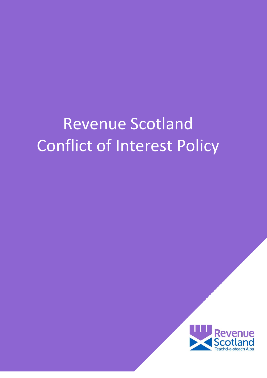# Revenue Scotland Conflict of Interest Policy

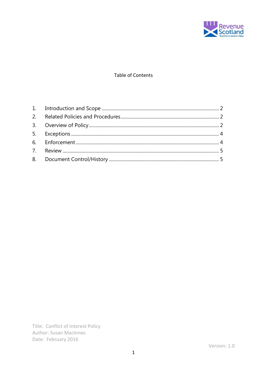

# Table of Contents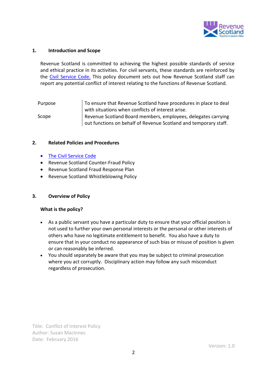

# <span id="page-2-0"></span>**1. Introduction and Scope**

Revenue Scotland is committed to achieving the highest possible standards of service and ethical practice in its activities. For civil servants, these standards are reinforced by the [Civil Service Code.](https://www.gov.uk/government/publications/civil-service-code/the-civil-service-code) This policy document sets out how Revenue Scotland staff can report any potential conflict of interest relating to the functions of Revenue Scotland.

Purpose Scope To ensure that Revenue Scotland have procedures in place to deal with situations when conflicts of interest arise. Revenue Scotland Board members, employees, delegates carrying out functions on behalf of Revenue Scotland and temporary staff.

#### <span id="page-2-1"></span>**2. Related Policies and Procedures**

- [The Civil Service Code](https://www.gov.uk/government/publications/civil-service-code/the-civil-service-code)
- Revenue Scotland Counter-Fraud Policy
- Revenue Scotland Fraud Response Plan
- Revenue Scotland Whistleblowing Policy

# <span id="page-2-2"></span>**3. Overview of Policy**

#### **What is the policy?**

- As a public servant you have a particular duty to ensure that your official position is not used to further your own personal interests or the personal or other interests of others who have no legitimate entitlement to benefit. You also have a duty to ensure that in your conduct no appearance of such bias or misuse of position is given or can reasonably be inferred.
- You should separately be aware that you may be subject to criminal prosecution where you act corruptly. Disciplinary action may follow any such misconduct regardless of prosecution.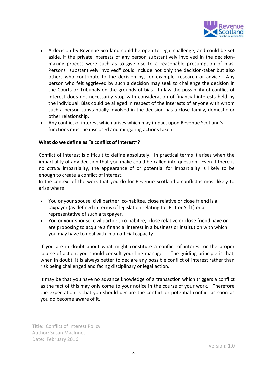

- A decision by Revenue Scotland could be open to legal challenge, and could be set aside, if the private interests of any person substantively involved in the decisionmaking process were such as to give rise to a reasonable presumption of bias. Persons "substantively involved" could include not only the decision-taker but also others who contribute to the decision by, for example, research or advice. Any person who felt aggrieved by such a decision may seek to challenge the decision in the Courts or Tribunals on the grounds of bias. In law the possibility of conflict of interest does not necessarily stop with consideration of financial interests held by the individual. Bias could be alleged in respect of the interests of anyone with whom such a person substantially involved in the decision has a close family, domestic or other relationship.
- Any conflict of interest which arises which may impact upon Revenue Scotland's functions must be disclosed and mitigating actions taken.

# **What do we define as "a conflict of interest"?**

Conflict of interest is difficult to define absolutely. In practical terms it arises when the impartiality of any decision that you make could be called into question. Even if there is no *actual* impartiality, the appearance of or potential for impartiality is likely to be enough to create a conflict of interest.

In the context of the work that you do for Revenue Scotland a conflict is most likely to arise where:

- You or your spouse, civil partner, co-habitee, close relative or close friend is a taxpayer (as defined in terms of legislation relating to LBTT or SLfT) or a representative of such a taxpayer.
- You or your spouse, civil partner, co-habitee, close relative or close friend have or are proposing to acquire a financial interest in a business or institution with which you may have to deal with in an official capacity.

If you are in doubt about what might constitute a conflict of interest or the proper course of action, you should consult your line manager. The guiding principle is that, when in doubt, it is always better to declare any possible conflict of interest rather than risk being challenged and facing disciplinary or legal action.

It may be that you have no advance knowledge of a transaction which triggers a conflict as the fact of this may only come to your notice in the course of your work. Therefore the expectation is that you should declare the conflict or potential conflict as soon as you do become aware of it.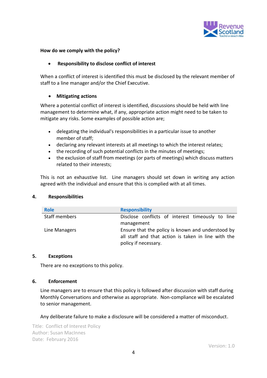

# **How do we comply with the policy?**

#### **Responsibility to disclose conflict of interest**

When a conflict of interest is identified this must be disclosed by the relevant member of staff to a line manager and/or the Chief Executive.

# **Mitigating actions**

Where a potential conflict of interest is identified, discussions should be held with line management to determine what, if any, appropriate action might need to be taken to mitigate any risks. Some examples of possible action are;

- delegating the individual's responsibilities in a particular issue to another member of staff;
- declaring any relevant interests at all meetings to which the interest relates;
- the recording of such potential conflicts in the minutes of meetings;
- the exclusion of staff from meetings (or parts of meetings) which discuss matters related to their interests;

This is not an exhaustive list. Line managers should set down in writing any action agreed with the individual and ensure that this is complied with at all times.

#### **4. Responsibilities**

| <b>Role</b>   | <b>Responsibility</b>                               |  |  |  |
|---------------|-----------------------------------------------------|--|--|--|
| Staff members | Disclose conflicts of interest timeously to line    |  |  |  |
|               | management                                          |  |  |  |
| Line Managers | Ensure that the policy is known and understood by   |  |  |  |
|               | all staff and that action is taken in line with the |  |  |  |
|               | policy if necessary.                                |  |  |  |

#### <span id="page-4-0"></span>**5. Exceptions**

There are no exceptions to this policy.

#### <span id="page-4-1"></span>**6. Enforcement**

Line managers are to ensure that this policy is followed after discussion with staff during Monthly Conversations and otherwise as appropriate. Non-compliance will be escalated to senior management.

<span id="page-4-2"></span>Any deliberate failure to make a disclosure will be considered a matter of misconduct.